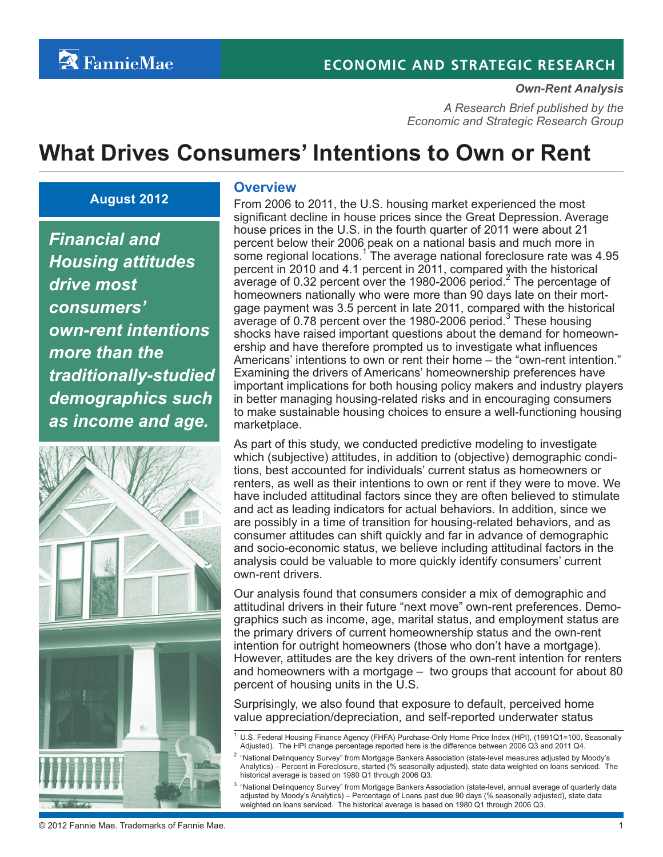# **ECONOMIC AND STRATEGIC RESEARCH**

#### *Own-Rent Analysis*

*A Research Brief published by the Economic and Strategic Research Group*

# **What Drives Consumers' Intentions to Own or Rent**

#### **August 2012**

*Financial and Housing attitudes drive most consumers' own-rent intentions more than the traditionally-studied demographics such as income and age.*



#### **Overview**

From 2006 to 2011, the U.S. housing market experienced the most significant decline in house prices since the Great Depression. Average house prices in the U.S. in the fourth quarter of 2011 were about 21 percent below their 2006 peak on a national basis and much more in some regional locations.<sup>1</sup> The average national foreclosure rate was 4.95 percent in 2010 and 4.1 percent in 2011, compared with the historical average of 0.32 percent over the 1980-2006 period.<sup>2</sup> The percentage of homeowners nationally who were more than 90 days late on their mortgage payment was 3.5 percent in late 2011, compared with the historical average of 0.78 percent over the 1980-2006 period. $^3$  These housing shocks have raised important questions about the demand for homeownership and have therefore prompted us to investigate what influences Americans' intentions to own or rent their home – the "own-rent intention." Examining the drivers of Americans' homeownership preferences have important implications for both housing policy makers and industry players in better managing housing-related risks and in encouraging consumers to make sustainable housing choices to ensure a well-functioning housing marketplace.

As part of this study, we conducted predictive modeling to investigate which (subjective) attitudes, in addition to (objective) demographic conditions, best accounted for individuals' current status as homeowners or renters, as well as their intentions to own or rent if they were to move. We have included attitudinal factors since they are often believed to stimulate and act as leading indicators for actual behaviors. In addition, since we are possibly in a time of transition for housing-related behaviors, and as consumer attitudes can shift quickly and far in advance of demographic and socio-economic status, we believe including attitudinal factors in the analysis could be valuable to more quickly identify consumers' current own-rent drivers.

Our analysis found that consumers consider a mix of demographic and attitudinal drivers in their future "next move" own-rent preferences. Demographics such as income, age, marital status, and employment status are the primary drivers of current homeownership status and the own-rent intention for outright homeowners (those who don't have a mortgage). However, attitudes are the key drivers of the own-rent intention for renters and homeowners with a mortgage – two groups that account for about 80 percent of housing units in the U.S.

Surprisingly, we also found that exposure to default, perceived home value appreciation/depreciation, and self-reported underwater status

<sup>&</sup>lt;sup>1</sup> U.S. Federal Housing Finance Agency (FHFA) Purchase-Only Home Price Index (HPI), (1991Q1=100, Seasonally Adjusted). The HPI change percentage reported here is the difference between 2006 Q3 and 2011 Q4.

<sup>&</sup>lt;sup>2</sup> "National Delinquency Survey" from Mortgage Bankers Association (state-level measures adjusted by Moody's Analytics) – Percent in Foreclosure, started (% seasonally adjusted), state data weighted on loans serviced. The historical average is based on 1980 Q1 through 2006 Q3.

 $3$  "National Delinquency Survey" from Mortgage Bankers Association (state-level, annual average of quarterly data adjusted by Moody's Analytics) – Percentage of Loans past due 90 days (% seasonally adjusted), state data weighted on loans serviced. The historical average is based on 1980 Q1 through 2006 Q3.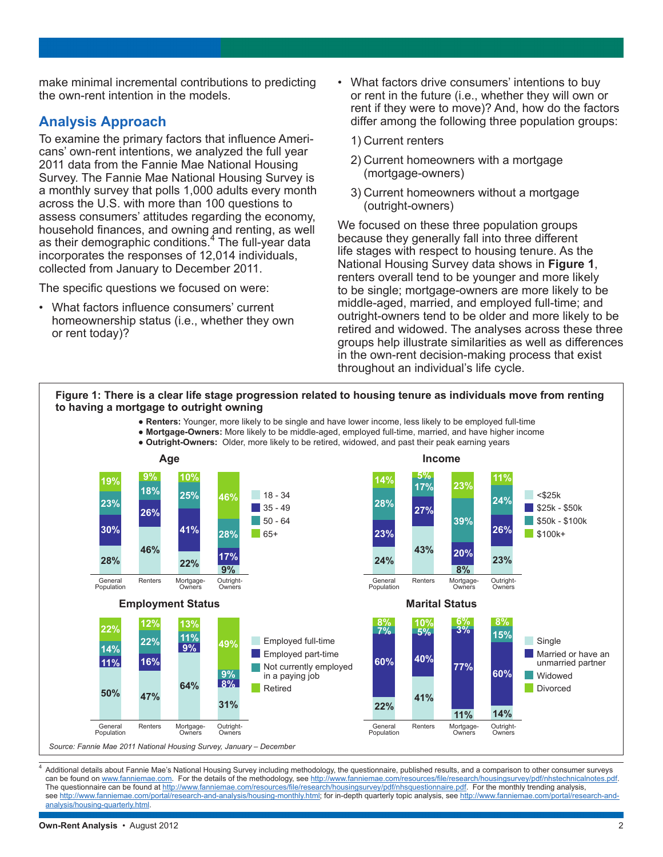make minimal incremental contributions to predicting the own-rent intention in the models.

## **Analysis Approach**

To examine the primary factors that influence Americans' own-rent intentions, we analyzed the full year 2011 data from the Fannie Mae National Housing Survey. The Fannie Mae National Housing Survey is a monthly survey that polls 1,000 adults every month across the U.S. with more than 100 questions to assess consumers' attitudes regarding the economy, household finances, and owning and renting, as well as their demographic conditions.<sup>4</sup> The full-year data incorporates the responses of 12,014 individuals, collected from January to December 2011.

The specific questions we focused on were:

• What factors influence consumers' current homeownership status (i.e., whether they own or rent today)?

- What factors drive consumers' intentions to buy or rent in the future (i.e., whether they will own or rent if they were to move)? And, how do the factors differ among the following three population groups:
	- 1) Current renters
	- 2) Current homeowners with a mortgage (mortgage-owners)
	- 3) Current homeowners without a mortgage (outright-owners)

We focused on these three population groups because they generally fall into three different life stages with respect to housing tenure. As the National Housing Survey data shows in **Figure 1**, renters overall tend to be younger and more likely to be single; mortgage-owners are more likely to be middle-aged, married, and employed full-time; and outright-owners tend to be older and more likely to be retired and widowed. The analyses across these three groups help illustrate similarities as well as differences in the own-rent decision-making process that exist throughout an individual's life cycle.



Additional details about Fannie Mae's National Housing Survey including methodology, the questionnaire, published results, and a comparison to other consumer surveys can be found on [www.fanniemae.com.](http://www.fanniemae.com) For the details of the methodology, see <http://www.fanniemae.com/resources/file/research/housingsurvey/pdf/nhstechnicalnotes.pdf>. The questionnaire can be found at <http://www.fanniemae.com/resources/file/research/housingsurvey/pdf/nhsquestionnaire.pdf>. For the monthly trending analysis, see <http://www.fanniemae.com/portal/research-and-analysis/housing-monthly.html>; for in-depth quarterly topic analysis, see [http://www.fanniemae.com/portal/research-and](http://www.fanniemae.com/portal/research-and-analysis/housing-quarterly.html)[analysis/housing-quarterly.html.](http://www.fanniemae.com/portal/research-and-analysis/housing-quarterly.html)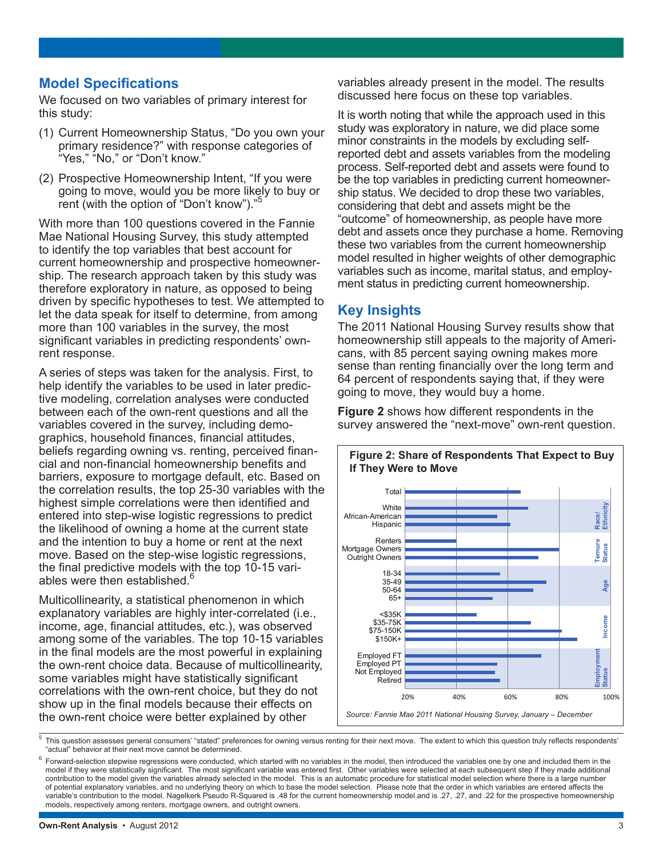## **Model Specifications**

We focused on two variables of primary interest for this study:

- (1) Current Homeownership Status, "Do you own your primary residence?" with response categories of "Yes," "No," or "Don't know."
- (2) Prospective Homeownership Intent, "If you were going to move, would you be more likely to buy or rent (with the option of "Don't know").'

With more than 100 questions covered in the Fannie Mae National Housing Survey, this study attempted to identify the top variables that best account for current homeownership and prospective homeownership. The research approach taken by this study was therefore exploratory in nature, as opposed to being driven by specific hypotheses to test. We attempted to let the data speak for itself to determine, from among more than 100 variables in the survey, the most significant variables in predicting respondents' ownrent response.

A series of steps was taken for the analysis. First, to help identify the variables to be used in later predictive modeling, correlation analyses were conducted between each of the own-rent questions and all the variables covered in the survey, including demographics, household finances, financial attitudes, beliefs regarding owning vs. renting, perceived financial and non-financial homeownership benefits and barriers, exposure to mortgage default, etc. Based on the correlation results, the top 25-30 variables with the highest simple correlations were then identified and entered into step-wise logistic regressions to predict the likelihood of owning a home at the current state and the intention to buy a home or rent at the next move. Based on the step-wise logistic regressions, the final predictive models with the top 10-15 variables were then established.<sup>1</sup>

Multicollinearity, a statistical phenomenon in which explanatory variables are highly inter-correlated (i.e., income, age, financial attitudes, etc.), was observed among some of the variables. The top 10-15 variables in the final models are the most powerful in explaining the own-rent choice data. Because of multicollinearity, some variables might have statistically significant correlations with the own-rent choice, but they do not show up in the final models because their effects on the own-rent choice were better explained by other

variables already present in the model. The results discussed here focus on these top variables.

It is worth noting that while the approach used in this study was exploratory in nature, we did place some minor constraints in the models by excluding selfreported debt and assets variables from the modeling process. Self-reported debt and assets were found to be the top variables in predicting current homeownership status. We decided to drop these two variables, considering that debt and assets might be the "outcome" of homeownership, as people have more debt and assets once they purchase a home. Removing these two variables from the current homeownership model resulted in higher weights of other demographic variables such as income, marital status, and employment status in predicting current homeownership.

# **Key Insights**

The 2011 National Housing Survey results show that homeownership still appeals to the majority of Americans, with 85 percent saying owning makes more sense than renting financially over the long term and 64 percent of respondents saying that, if they were going to move, they would buy a home.

**Figure 2** shows how different respondents in the survey answered the "next-move" own-rent question.



**Figure 2: Share of Respondents That Expect to Buy If They Were to Move** 

<sup>5</sup> This question assesses general consumers' "stated" preferences for owning versus renting for their next move. The extent to which this question truly reflects respondents' "actual" behavior at their next move cannot be determined.

 $^6$  Forward-selection stepwise regressions were conducted, which started with no variables in the model, then introduced the variables one by one and included them in the model if they were statistically significant. The most significant variable was entered first. Other variables were selected at each subsequent step if they made additional contribution to the model given the variables already selected in the model. This is an automatic procedure for statistical model selection where there is a large number of potential explanatory variables, and no underlying theory on which to base the model selection. Please note that the order in which variables are entered affects the variable's contribution to the model. Nagelkerk Pseudo R-Squared is .48 for the current homeownership model and is .27, .27, and .22 for the prospective homeownership models, respectively among renters, mortgage owners, and outright owners.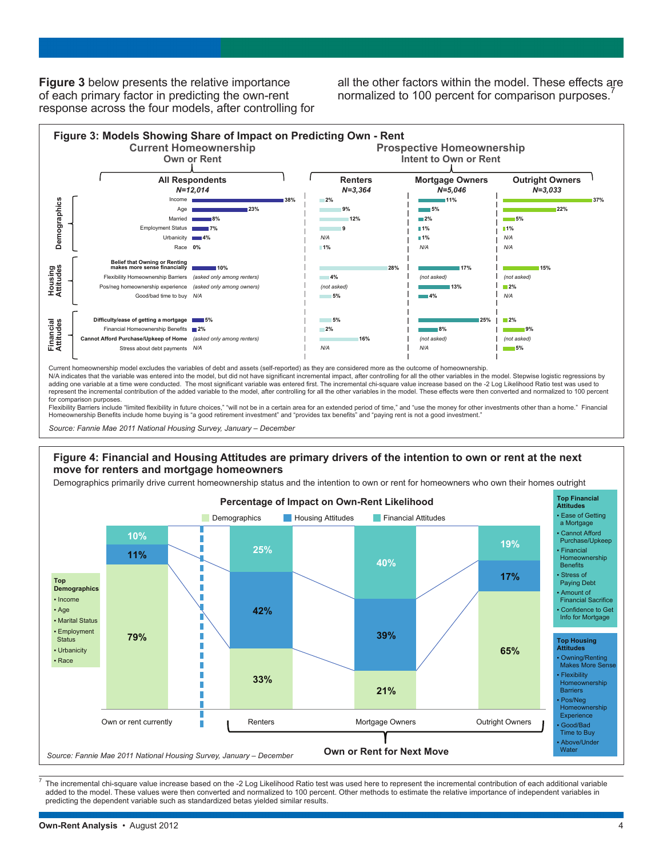**Figure 3** below presents the relative importance of each primary factor in predicting the own-rent response across the four models, after controlling for all the other factors within the model. These effects are normalized to 100 percent for comparison purposes.



Current homeownership model excludes the variables of debt and assets (self-reported) as they are considered more as the outcome of homeownership.

N/A indicates that the variable was entered into the model, but did not have significant incremental impact, after controlling for all the other variables in the model. Stepwise logistic regressions by adding one variable at a time were conducted. The most significant variable was entered first. The incremental chi-square value increase based on the -2 Log Likelihood Ratio test was used to represent the incremental contribution of the added variable to the model, after controlling for all the other variables in the model. These effects were then converted and normalized to 100 percent for comparison purposes.

Flexibility Barriers include "limited flexibility in future choices," "will not be in a certain area for an extended period of time," and "use the money for other investments other than a home." Financial<br>Homeownership Ben

*Source: Fannie Mae 2011 National Housing Survey, January – December*

#### **Figure 4: Financial and Housing Attitudes are primary drivers of the intention to own or rent at the next move for renters and mortgage homeowners**

Demographics primarily drive current homeownership status and the intention to own or rent for homeowners who own their homes outright



The incremental chi-square value increase based on the -2 Log Likelihood Ratio test was used here to represent the incremental contribution of each additional variable added to the model. These values were then converted and normalized to 100 percent. Other methods to estimate the relative importance of independent variables in predicting the dependent variable such as standardized betas yielded similar results.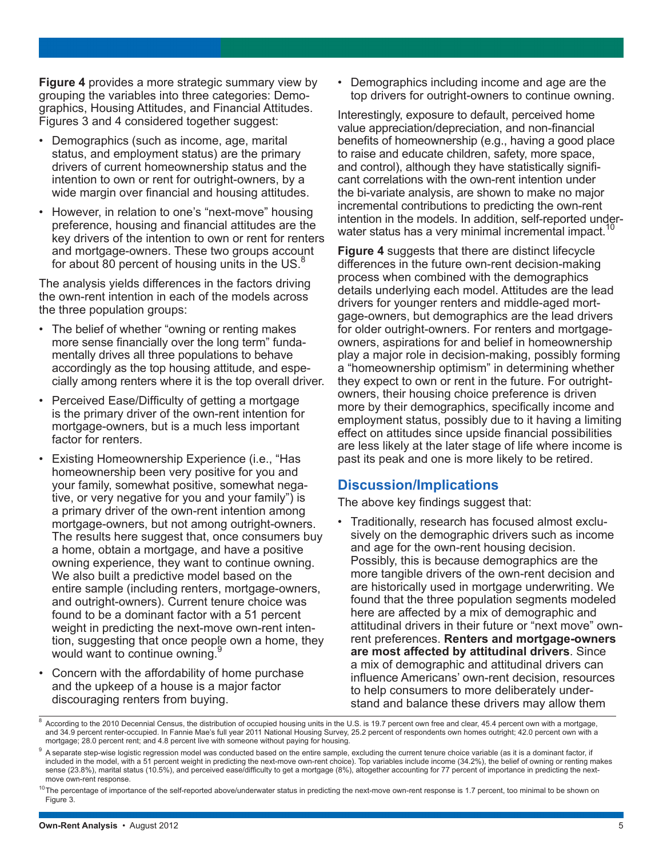**Figure 4** provides a more strategic summary view by grouping the variables into three categories: Demographics, Housing Attitudes, and Financial Attitudes. Figures 3 and 4 considered together suggest:

- Demographics (such as income, age, marital status, and employment status) are the primary drivers of current homeownership status and the intention to own or rent for outright-owners, by a wide margin over financial and housing attitudes.
- However, in relation to one's "next-move" housing preference, housing and financial attitudes are the key drivers of the intention to own or rent for renters and mortgage-owners. These two groups account for about 80 percent of housing units in the US.<sup>8</sup>

The analysis yields differences in the factors driving the own-rent intention in each of the models across the three population groups:

- The belief of whether "owning or renting makes more sense financially over the long term" fundamentally drives all three populations to behave accordingly as the top housing attitude, and especially among renters where it is the top overall driver.
- Perceived Ease/Difficulty of getting a mortgage is the primary driver of the own-rent intention for mortgage-owners, but is a much less important factor for renters.
- Existing Homeownership Experience (i.e., "Has homeownership been very positive for you and your family, somewhat positive, somewhat negative, or very negative for you and your family") is a primary driver of the own-rent intention among mortgage-owners, but not among outright-owners. The results here suggest that, once consumers buy a home, obtain a mortgage, and have a positive owning experience, they want to continue owning. We also built a predictive model based on the entire sample (including renters, mortgage-owners, and outright-owners). Current tenure choice was found to be a dominant factor with a 51 percent weight in predicting the next-move own-rent intention, suggesting that once people own a home, they would want to continue owning.
- Concern with the affordability of home purchase and the upkeep of a house is a major factor discouraging renters from buying.

• Demographics including income and age are the top drivers for outright-owners to continue owning.

Interestingly, exposure to default, perceived home value appreciation/depreciation, and non-financial benefits of homeownership (e.g., having a good place to raise and educate children, safety, more space, and control), although they have statistically significant correlations with the own-rent intention under the bi-variate analysis, are shown to make no major incremental contributions to predicting the own-rent intention in the models. In addition, self-reported underwater status has a very minimal incremental impact.

**Figure 4** suggests that there are distinct lifecycle differences in the future own-rent decision-making process when combined with the demographics details underlying each model. Attitudes are the lead drivers for younger renters and middle-aged mortgage-owners, but demographics are the lead drivers for older outright-owners. For renters and mortgageowners, aspirations for and belief in homeownership play a major role in decision-making, possibly forming a "homeownership optimism" in determining whether they expect to own or rent in the future. For outrightowners, their housing choice preference is driven more by their demographics, specifically income and employment status, possibly due to it having a limiting effect on attitudes since upside financial possibilities are less likely at the later stage of life where income is past its peak and one is more likely to be retired.

## **Discussion/Implications**

The above key findings suggest that:

• Traditionally, research has focused almost exclusively on the demographic drivers such as income and age for the own-rent housing decision. Possibly, this is because demographics are the more tangible drivers of the own-rent decision and are historically used in mortgage underwriting. We found that the three population segments modeled here are affected by a mix of demographic and attitudinal drivers in their future or "next move" ownrent preferences. **Renters and mortgage-owners are most affected by attitudinal drivers**. Since a mix of demographic and attitudinal drivers can influence Americans' own-rent decision, resources to help consumers to more deliberately understand and balance these drivers may allow them

<sup>&</sup>lt;sup>8</sup> According to the 2010 Decennial Census, the distribution of occupied housing units in the U.S. is 19.7 percent own free and clear, 45.4 percent own with a mortgage, and 34.9 percent renter-occupied. In Fannie Mae's full year 2011 National Housing Survey, 25.2 percent of respondents own homes outright; 42.0 percent own with a mortgage; 28.0 percent rent; and 4.8 percent live with someone without paying for housing.

<sup>&</sup>lt;sup>9</sup> A separate step-wise logistic regression model was conducted based on the entire sample, excluding the current tenure choice variable (as it is a dominant factor, if included in the model, with a 51 percent weight in predicting the next-move own-rent choice). Top variables include income (34.2%), the belief of owning or renting makes sense (23.8%), marital status (10.5%), and perceived ease/difficulty to get a mortgage (8%), altogether accounting for 77 percent of importance in predicting the nextmove own-rent response.

<sup>&</sup>lt;sup>10</sup>The percentage of importance of the self-reported above/underwater status in predicting the next-move own-rent response is 1.7 percent, too minimal to be shown on Figure 3.